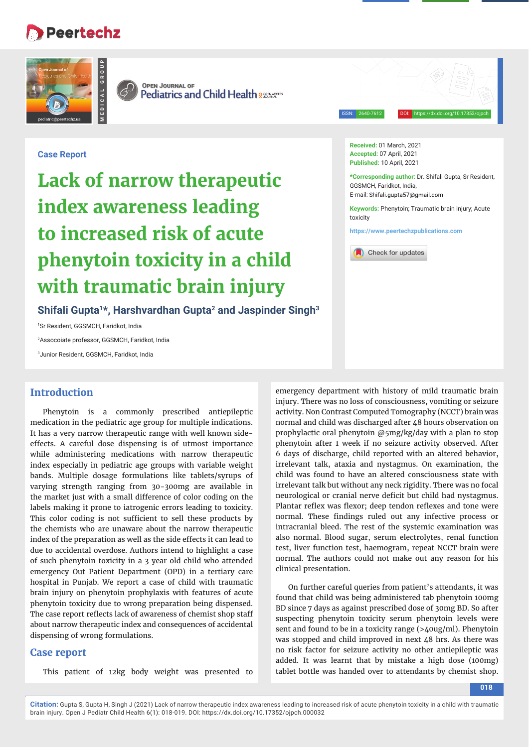# **Peertechz**



**MEDICAL GROUP**

**OPEN JOURNAL OF Pediatrics and Child Health assessares** 

ISSN: 2640-7612 DOI: https://dx.doi.org/10.17352/ojpch

## **Case Report**

**Lack of narrow therapeutic index awareness leading to increased risk of acute phenytoin toxicity in a child with traumatic brain injury**

**Shifali Gupta1\*, Harshvardhan Gupta2 and Jaspinder Singh3**

1 Sr Resident, GGSMCH, Faridkot, India

2 Assocoiate professor, GGSMCH, Faridkot, India

3 Junior Resident, GGSMCH, Faridkot, India

## **Introduction**

Phenytoin is a commonly prescribed antiepileptic medication in the pediatric age group for multiple indications. It has a very narrow therapeutic range with well known sideeffects. A careful dose dispensing is of utmost importance while administering medications with narrow therapeutic index especially in pediatric age groups with variable weight bands. Multiple dosage formulations like tablets/syrups of varying strength ranging from 30-300mg are available in the market just with a small difference of color coding on the labels making it prone to iatrogenic errors leading to toxicity. This color coding is not sufficient to sell these products by the chemists who are unaware about the narrow therapeutic index of the preparation as well as the side effects it can lead to due to accidental overdose. Authors intend to highlight a case of such phenytoin toxicity in a 3 year old child who attended emergency Out Patient Department (OPD) in a tertiary care hospital in Punjab. We report a case of child with traumatic brain injury on phenytoin prophylaxis with features of acute phenytoin toxicity due to wrong preparation being dispensed. The case report reflects lack of awareness of chemist shop staff about narrow therapeutic index and consequences of accidental dispensing of wrong formulations.

## **Case report**

This patient of 12kg body weight was presented to

**Received:** 01 March, 2021 **Accepted:** 07 April, 2021 **Published:** 10 April, 2021

**\*Corresponding author:** Dr. Shifali Gupta, Sr Resident, GGSMCH, Faridkot, India, E-mail: Shifali.qupta57@qmail.com

**Keywords:** Phenytoin; Traumatic brain injury; Acute toxicity

**https://www.peertechzpublications.com**



emergency department with history of mild traumatic brain injury. There was no loss of consciousness, vomiting or seizure activity. Non Contrast Computed Tomography (NCCT) brain was normal and child was discharged after 48 hours observation on prophylactic oral phenytoin @5mg/kg/day with a plan to stop phenytoin after 1 week if no seizure activity observed. After 6 days of discharge, child reported with an altered behavior, irrelevant talk, ataxia and nystagmus. On examination, the child was found to have an altered consciousness state with irrelevant talk but without any neck rigidity. There was no focal neurological or cranial nerve deficit but child had nystagmus. Plantar reflex was flexor; deep tendon reflexes and tone were normal. These findings ruled out any infective process or intracranial bleed. The rest of the systemic examination was also normal. Blood sugar, serum electrolytes, renal function test, liver function test, haemogram, repeat NCCT brain were normal. The authors could not make out any reason for his clinical presentation.

On further careful queries from patient's attendants, it was found that child was being administered tab phenytoin 100mg BD since 7 days as against prescribed dose of 30mg BD. So after suspecting phenytoin toxicity serum phenytoin levels were sent and found to be in a toxicity range (>40ug/ml). Phenytoin was stopped and child improved in next 48 hrs. As there was no risk factor for seizure activity no other antiepileptic was added. It was learnt that by mistake a high dose (100mg) tablet bottle was handed over to attendants by chemist shop.

**Citation:** Gupta S, Gupta H, Singh J (2021) Lack of narrow therapeutic index awareness leading to increased risk of acute phenytoin toxicity in a child with traumatic brain injury. Open J Pediatr Child Health 6(1): 018-019. DOI: https://dx.doi.org/10.17352/ojpch.000032